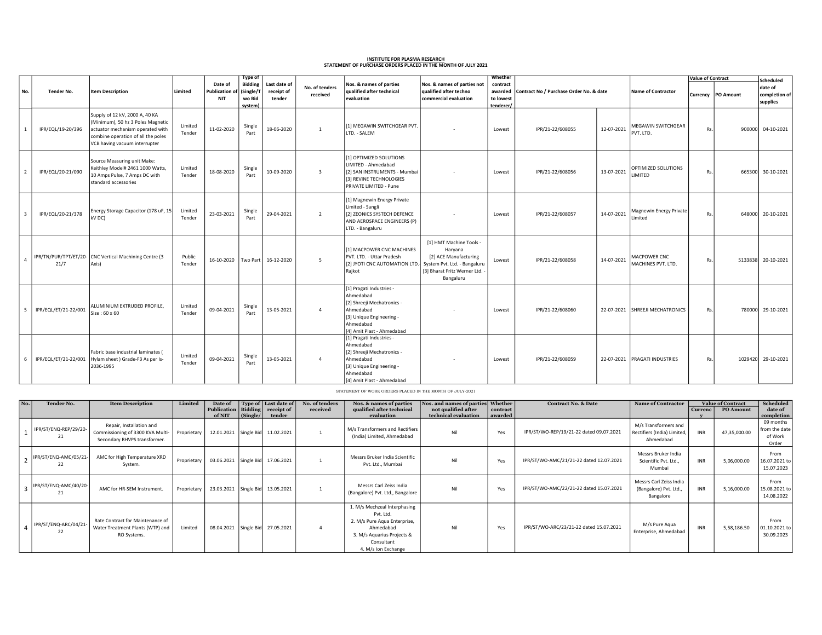## INSTITUTE FOR PLASMA RESEARCH<br>STATEMENT OF PURCHASE ORDERS PLACED IN THE MONTH OF JULY 2021

|                |                      |                                                                                                                                                                                |                   |                                                | <b>Type of</b>                            |                                                  |                |                                                                                                                                                         |                                                                                                          | Whether                                       | Contract No / Purchase Order No. & date |            |                                      | <b>Value of Contract</b> |                    | Scheduled                            |
|----------------|----------------------|--------------------------------------------------------------------------------------------------------------------------------------------------------------------------------|-------------------|------------------------------------------------|-------------------------------------------|--------------------------------------------------|----------------|---------------------------------------------------------------------------------------------------------------------------------------------------------|----------------------------------------------------------------------------------------------------------|-----------------------------------------------|-----------------------------------------|------------|--------------------------------------|--------------------------|--------------------|--------------------------------------|
| No.            | Tender No.           | <b>Item Description</b>                                                                                                                                                        | Limited           | Date of<br><b>Publication of</b><br><b>NIT</b> | Bidding<br>(Single/T<br>wo Bid<br>system) | Last date of<br>receipt of<br>received<br>tender | No. of tenders | Nos. & names of parties<br>qualified after technical<br>evaluation                                                                                      | Nos. & names of parties not<br>qualified after techno<br>commercial evaluation                           | contract<br>awarded<br>to lowest<br>tenderer/ |                                         |            | <b>Name of Contractor</b>            |                          | Currency PO Amount | date of<br>completion of<br>supplies |
| $\overline{1}$ | IPR/EQL/19-20/396    | Supply of 12 kV, 2000 A, 40 KA<br>(Minimum), 50 hz 3 Poles Magnetic<br>actuator mechanism operated with<br>combine operation of all the poles<br>VCB having vacuum interrupter | Limited<br>Tender | 11-02-2020                                     | Single<br>Part                            | 18-06-2020                                       | $\mathbf{1}$   | [1] MEGAWIN SWITCHGEAR PVT.<br>LTD. - SALEM                                                                                                             |                                                                                                          | Lowest                                        | IPR/21-22/608055                        | 12-07-2021 | MEGAWIN SWITCHGEAR<br>PVT. LTD.      | Rs.                      | 900000             | 04-10-2021                           |
| $\overline{2}$ | IPR/EQL/20-21/090    | Source Measuring unit Make:<br>Keithley Model# 2461 1000 Watts,<br>10 Amps Pulse, 7 Amps DC with<br>standard accessories                                                       | Limited<br>Tender | 18-08-2020                                     | Single<br>Part                            | 10-09-2020                                       | $\overline{3}$ | 11 OPTIMIZED SOLUTIONS<br>LIMITED - Ahmedabad<br>[2] SAN INSTRUMENTS - Mumbai<br>[3] REVINE TECHNOLOGIES<br>PRIVATE LIMITED - Pune                      |                                                                                                          | Lowest                                        | IPR/21-22/608056                        | 13-07-2021 | OPTIMIZED SOLUTIONS<br><b>IMITED</b> | Rs.                      |                    | 665300 30-10-2021                    |
| $\mathbf{3}$   | IPR/EQL/20-21/378    | Energy Storage Capacitor (178 uF, 15<br>kV DC)                                                                                                                                 | Limited<br>Tender | 23-03-2021                                     | Single<br>Part                            | 29-04-2021                                       | $\overline{2}$ | [1] Magnewin Energy Private<br>Limited - Sangli<br>[2] ZEONICS SYSTECH DEFENCE<br>AND AEROSPACE ENGINEERS (P)<br>LTD. - Bangaluru                       |                                                                                                          | Lowest                                        | IPR/21-22/608057                        | 14-07-2021 | Magnewin Energy Private<br>imited    | Rs.                      | 648000             | 20-10-2021                           |
| $\overline{4}$ | 21/7                 | IPR/TN/PUR/TPT/ET/20- CNC Vertical Machining Centre (3<br>Axis)                                                                                                                | Public<br>Tender  | 16-10-2020                                     | Two Part                                  | 16-12-2020                                       | 5              | [1] MACPOWER CNC MACHINES<br>PVT. LTD. - Uttar Pradesh<br>[2] JYOTI CNC AUTOMATION LTD. System Pvt. Ltd. - Bangaluru<br>Rajkot                          | [1] HMT Machine Tools -<br>Haryana<br>[2] ACE Manufacturing<br>[3] Bharat Fritz Werner Ltd.<br>Bangaluru | Lowest                                        | IPR/21-22/608058                        | 14-07-2021 | MACPOWER CNC<br>MACHINES PVT. LTD.   | Rs.                      | 5133838            | 20-10-2021                           |
| - 5            | IPR/EQL/ET/21-22/001 | ALUMINIUM EXTRUDED PROFILE,<br>Size: 60 x 60                                                                                                                                   | Limited<br>Tender | 09-04-2021                                     | Single<br>Part                            | 13-05-2021                                       | $\Delta$       | [1] Pragati Industries -<br>Ahmedabad<br>[2] Shreeji Mechatronics -<br>Ahmedabad<br>[3] Unique Engineering -<br>Ahmedabad<br>[4] Amit Plast - Ahmedabad |                                                                                                          | Lowest                                        | IPR/21-22/608060                        |            | 22-07-2021 SHREEJI MECHATRONICS      | Rs.                      | 780000             | 29-10-2021                           |
| - 6            | IPR/EQL/ET/21-22/001 | Fabric base industrial laminates (<br>Hylam sheet ) Grade-F3 As per Is-<br>2036-1995                                                                                           | Limited<br>Tender | 09-04-2021                                     | Single<br>Part                            | 13-05-2021                                       | $\Delta$       | [1] Pragati Industries -<br>Ahmedabad<br>[2] Shreeji Mechatronics -<br>Ahmedabad<br>[3] Unique Engineering -<br>Ahmedabad<br>[4] Amit Plast - Ahmedabad |                                                                                                          | Lowest                                        | IPR/21-22/608059                        |            | 22-07-2021 PRAGATI INDUSTRIES        | Rs.                      | 1029420            | 29-10-2021                           |

STATEMENT OF WORK ORDERS PLACED IN THE MONTH OF JULY-2021

| No. | Tender No.                  | <b>Item Description</b>                                                                      | Limited     | Date of                            |            | Type of   Last date of | No. of tenders | Nos. & names of parties                                                                                                                                   | Nos. and names of parties Whether |          | <b>Contract No. &amp; Date</b>          | <b>Name of Contractor</b>                                        | <b>Value of Contract</b> |                  | <b>Scheduled</b>                               |
|-----|-----------------------------|----------------------------------------------------------------------------------------------|-------------|------------------------------------|------------|------------------------|----------------|-----------------------------------------------------------------------------------------------------------------------------------------------------------|-----------------------------------|----------|-----------------------------------------|------------------------------------------------------------------|--------------------------|------------------|------------------------------------------------|
|     |                             |                                                                                              |             | Publication   Bidding   receipt of |            |                        | received       | qualified after technical                                                                                                                                 | not qualified after               | contract |                                         |                                                                  | Currenc                  | <b>PO Amount</b> | date of                                        |
|     |                             |                                                                                              |             | of NIT                             | (Single/   | tender                 |                | evaluation                                                                                                                                                | technical evaluation              | awarded  |                                         |                                                                  |                          |                  | completion                                     |
|     | IPR/ST/ENQ-REP/29/20-<br>21 | Repair, Installation and<br>Commissioning of 3300 KVA Multi-<br>Secondary RHVPS transformer. | Proprietary | 12.01.2021                         |            | Single Bid 11.02.2021  |                | M/s Transformers and Rectifiers<br>(India) Limited, Ahmedabad                                                                                             | Nil                               | Yes      | IPR/ST/WO-REP/19/21-22 dated 09.07.2021 | M/s Transformers and<br>Rectifiers (India) Limited,<br>Ahmedabad | <b>INR</b>               | 47,35,000.00     | 09 months<br>from the date<br>of Work<br>Order |
|     | IPR/ST/ENQ-AMC/05/21-<br>22 | AMC for High Temperature XRD<br>System.                                                      | Proprietary | 03.06.2021                         |            | Single Bid 17.06.2021  |                | Messrs Bruker India Scientific<br>Pvt. Ltd., Mumbai                                                                                                       | Nil                               | Yes      | IPR/ST/WO-AMC/21/21-22 dated 12.07.2021 | Messrs Bruker India<br>Scientific Pvt. Ltd.,<br>Mumbai           | <b>INR</b>               | 5,06,000.00      | From<br>16.07.2021 to<br>15.07.2023            |
|     | IPR/ST/ENQ-AMC/40/20-<br>21 | AMC for HR-SEM Instrument.                                                                   | Proprietary | 23.03.2021                         |            | Single Bid 13.05.2021  |                | Messrs Carl Zeiss India<br>(Bangalore) Pvt. Ltd., Bangalore                                                                                               | Nil                               | Yes      | IPR/ST/WO-AMC/22/21-22 dated 15.07.2021 | Messrs Carl Zeiss India<br>(Bangalore) Pvt. Ltd.,<br>Bangalore   | <b>INR</b>               | 5,16,000.00      | From<br>15.08.2021 to<br>14.08.2022            |
|     | IPR/ST/ENQ-ARC/04/21-<br>22 | Rate Contract for Maintenance of<br>Water Treatment Plants (WTP) and<br>RO Systems.          | Limited     | 08.04.2021                         | Single Bid | 27.05.2021             |                | 1. M/s Mechzeal Interphasing<br>Pvt. Ltd.<br>2. M/s Pure Aqua Enterprise,<br>Ahmedabad<br>3. M/s Aquarius Projects &<br>Consultant<br>4. M/s Ion Exchange | Nil                               | Yes      | IPR/ST/WO-ARC/23/21-22 dated 15.07.2021 | M/s Pure Agua<br>Enterprise, Ahmedabad                           | <b>INR</b>               | 5,58,186.50      | From<br>01.10.2021 to<br>30.09.2023            |